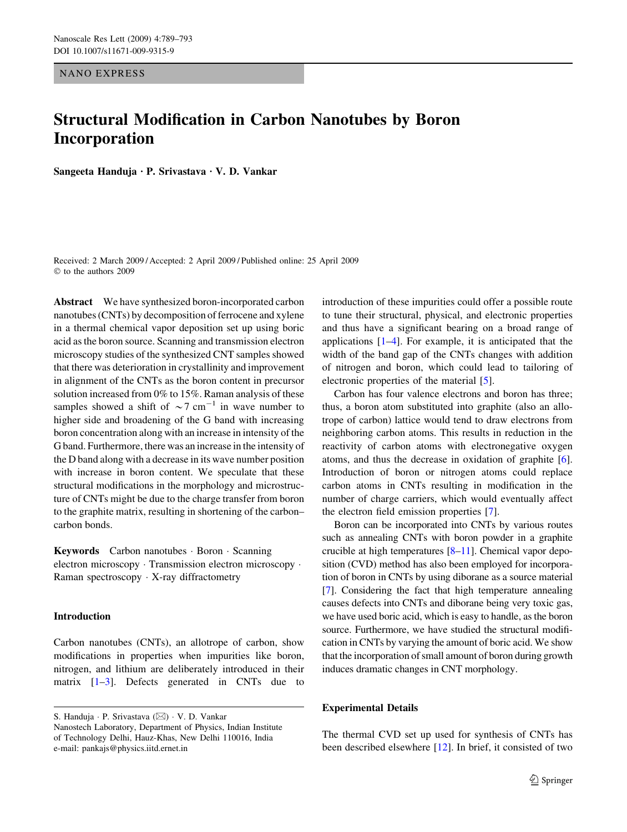NANO EXPRESS

# Structural Modification in Carbon Nanotubes by Boron Incorporation

Sangeeta Handuja  $\cdot$  P. Srivastava  $\cdot$  V. D. Vankar

Received: 2 March 2009 / Accepted: 2 April 2009 / Published online: 25 April 2009  $©$  to the authors 2009

Abstract We have synthesized boron-incorporated carbon nanotubes (CNTs) by decomposition of ferrocene and xylene in a thermal chemical vapor deposition set up using boric acid as the boron source. Scanning and transmission electron microscopy studies of the synthesized CNT samples showed that there was deterioration in crystallinity and improvement in alignment of the CNTs as the boron content in precursor solution increased from 0% to 15%. Raman analysis of these samples showed a shift of  $\sim$ 7 cm<sup>-1</sup> in wave number to higher side and broadening of the G band with increasing boron concentration along with an increase in intensity of the G band. Furthermore, there was an increase in the intensity of the D band along with a decrease in its wave number position with increase in boron content. We speculate that these structural modifications in the morphology and microstructure of CNTs might be due to the charge transfer from boron to the graphite matrix, resulting in shortening of the carbon– carbon bonds.

Keywords Carbon nanotubes · Boron · Scanning electron microscopy · Transmission electron microscopy · Raman spectroscopy  $\cdot$  X-ray diffractometry

### Introduction

Carbon nanotubes (CNTs), an allotrope of carbon, show modifications in properties when impurities like boron, nitrogen, and lithium are deliberately introduced in their matrix [[1–3\]](#page-4-0). Defects generated in CNTs due to

S. Handuja · P. Srivastava (⊠) · V. D. Vankar Nanostech Laboratory, Department of Physics, Indian Institute of Technology Delhi, Hauz-Khas, New Delhi 110016, India e-mail: pankajs@physics.iitd.ernet.in

introduction of these impurities could offer a possible route to tune their structural, physical, and electronic properties and thus have a significant bearing on a broad range of applications  $[1-4]$ . For example, it is anticipated that the width of the band gap of the CNTs changes with addition of nitrogen and boron, which could lead to tailoring of electronic properties of the material [\[5](#page-4-0)].

Carbon has four valence electrons and boron has three; thus, a boron atom substituted into graphite (also an allotrope of carbon) lattice would tend to draw electrons from neighboring carbon atoms. This results in reduction in the reactivity of carbon atoms with electronegative oxygen atoms, and thus the decrease in oxidation of graphite [\[6](#page-4-0)]. Introduction of boron or nitrogen atoms could replace carbon atoms in CNTs resulting in modification in the number of charge carriers, which would eventually affect the electron field emission properties [\[7](#page-4-0)].

Boron can be incorporated into CNTs by various routes such as annealing CNTs with boron powder in a graphite crucible at high temperatures [[8–11](#page-4-0)]. Chemical vapor deposition (CVD) method has also been employed for incorporation of boron in CNTs by using diborane as a source material [\[7](#page-4-0)]. Considering the fact that high temperature annealing causes defects into CNTs and diborane being very toxic gas, we have used boric acid, which is easy to handle, as the boron source. Furthermore, we have studied the structural modification in CNTs by varying the amount of boric acid. We show that the incorporation of small amount of boron during growth induces dramatic changes in CNT morphology.

#### Experimental Details

The thermal CVD set up used for synthesis of CNTs has been described elsewhere [\[12](#page-4-0)]. In brief, it consisted of two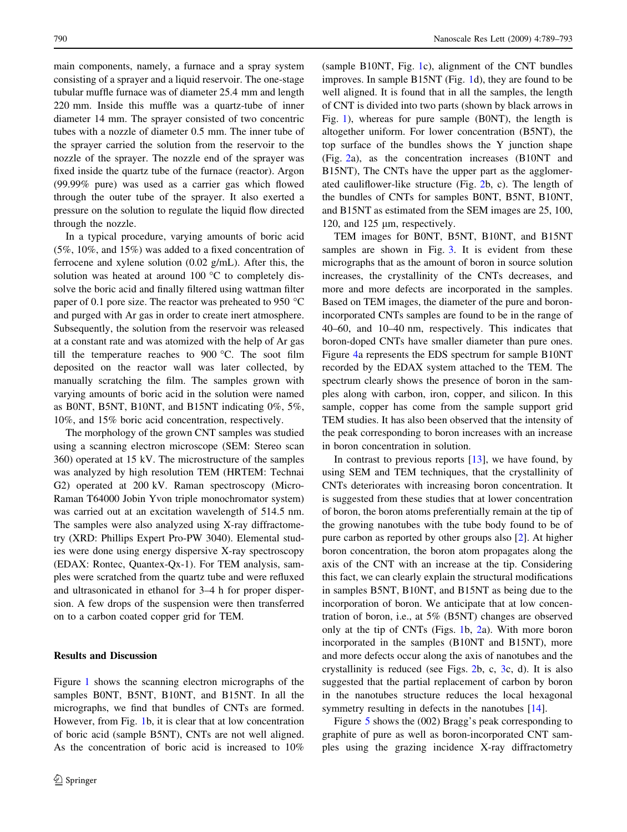main components, namely, a furnace and a spray system consisting of a sprayer and a liquid reservoir. The one-stage tubular muffle furnace was of diameter 25.4 mm and length 220 mm. Inside this muffle was a quartz-tube of inner diameter 14 mm. The sprayer consisted of two concentric tubes with a nozzle of diameter 0.5 mm. The inner tube of the sprayer carried the solution from the reservoir to the nozzle of the sprayer. The nozzle end of the sprayer was fixed inside the quartz tube of the furnace (reactor). Argon (99.99% pure) was used as a carrier gas which flowed through the outer tube of the sprayer. It also exerted a pressure on the solution to regulate the liquid flow directed through the nozzle.

In a typical procedure, varying amounts of boric acid (5%, 10%, and 15%) was added to a fixed concentration of ferrocene and xylene solution (0.02 g/mL). After this, the solution was heated at around  $100\text{ °C}$  to completely dissolve the boric acid and finally filtered using wattman filter paper of 0.1 pore size. The reactor was preheated to 950  $^{\circ}$ C and purged with Ar gas in order to create inert atmosphere. Subsequently, the solution from the reservoir was released at a constant rate and was atomized with the help of Ar gas till the temperature reaches to  $900\text{ °C}$ . The soot film deposited on the reactor wall was later collected, by manually scratching the film. The samples grown with varying amounts of boric acid in the solution were named as B0NT, B5NT, B10NT, and B15NT indicating 0%, 5%, 10%, and 15% boric acid concentration, respectively.

The morphology of the grown CNT samples was studied using a scanning electron microscope (SEM: Stereo scan 360) operated at 15 kV. The microstructure of the samples was analyzed by high resolution TEM (HRTEM: Technai G2) operated at 200 kV. Raman spectroscopy (Micro-Raman T64000 Jobin Yvon triple monochromator system) was carried out at an excitation wavelength of 514.5 nm. The samples were also analyzed using X-ray diffractometry (XRD: Phillips Expert Pro-PW 3040). Elemental studies were done using energy dispersive X-ray spectroscopy (EDAX: Rontec, Quantex-Qx-1). For TEM analysis, samples were scratched from the quartz tube and were refluxed and ultrasonicated in ethanol for 3–4 h for proper dispersion. A few drops of the suspension were then transferred on to a carbon coated copper grid for TEM.

### Results and Discussion

Figure [1](#page-2-0) shows the scanning electron micrographs of the samples B0NT, B5NT, B10NT, and B15NT. In all the micrographs, we find that bundles of CNTs are formed. However, from Fig. [1](#page-2-0)b, it is clear that at low concentration of boric acid (sample B5NT), CNTs are not well aligned. As the concentration of boric acid is increased to 10%

(sample B10NT, Fig. [1](#page-2-0)c), alignment of the CNT bundles improves. In sample B15NT (Fig. [1](#page-2-0)d), they are found to be well aligned. It is found that in all the samples, the length of CNT is divided into two parts (shown by black arrows in Fig. [1](#page-2-0)), whereas for pure sample (B0NT), the length is altogether uniform. For lower concentration (B5NT), the top surface of the bundles shows the Y junction shape (Fig. [2a](#page-2-0)), as the concentration increases (B10NT and B15NT), The CNTs have the upper part as the agglomerated cauliflower-like structure (Fig. [2](#page-2-0)b, c). The length of the bundles of CNTs for samples B0NT, B5NT, B10NT, and B15NT as estimated from the SEM images are 25, 100, 120, and 125 *l*m, respectively.

TEM images for B0NT, B5NT, B10NT, and B15NT samples are shown in Fig. [3](#page-3-0). It is evident from these micrographs that as the amount of boron in source solution increases, the crystallinity of the CNTs decreases, and more and more defects are incorporated in the samples. Based on TEM images, the diameter of the pure and boronincorporated CNTs samples are found to be in the range of 40–60, and 10–40 nm, respectively. This indicates that boron-doped CNTs have smaller diameter than pure ones. Figure [4](#page-3-0)a represents the EDS spectrum for sample B10NT recorded by the EDAX system attached to the TEM. The spectrum clearly shows the presence of boron in the samples along with carbon, iron, copper, and silicon. In this sample, copper has come from the sample support grid TEM studies. It has also been observed that the intensity of the peak corresponding to boron increases with an increase in boron concentration in solution.

In contrast to previous reports  $[13]$  $[13]$ , we have found, by using SEM and TEM techniques, that the crystallinity of CNTs deteriorates with increasing boron concentration. It is suggested from these studies that at lower concentration of boron, the boron atoms preferentially remain at the tip of the growing nanotubes with the tube body found to be of pure carbon as reported by other groups also [\[2](#page-4-0)]. At higher boron concentration, the boron atom propagates along the axis of the CNT with an increase at the tip. Considering this fact, we can clearly explain the structural modifications in samples B5NT, B10NT, and B15NT as being due to the incorporation of boron. We anticipate that at low concentration of boron, i.e., at 5% (B5NT) changes are observed only at the tip of CNTs (Figs. [1b](#page-2-0), [2a](#page-2-0)). With more boron incorporated in the samples (B10NT and B15NT), more and more defects occur along the axis of nanotubes and the crystallinity is reduced (see Figs. [2](#page-2-0)b, c, [3c](#page-3-0), d). It is also suggested that the partial replacement of carbon by boron in the nanotubes structure reduces the local hexagonal symmetry resulting in defects in the nanotubes [[14\]](#page-4-0).

Figure [5](#page-3-0) shows the (002) Bragg's peak corresponding to graphite of pure as well as boron-incorporated CNT samples using the grazing incidence X-ray diffractometry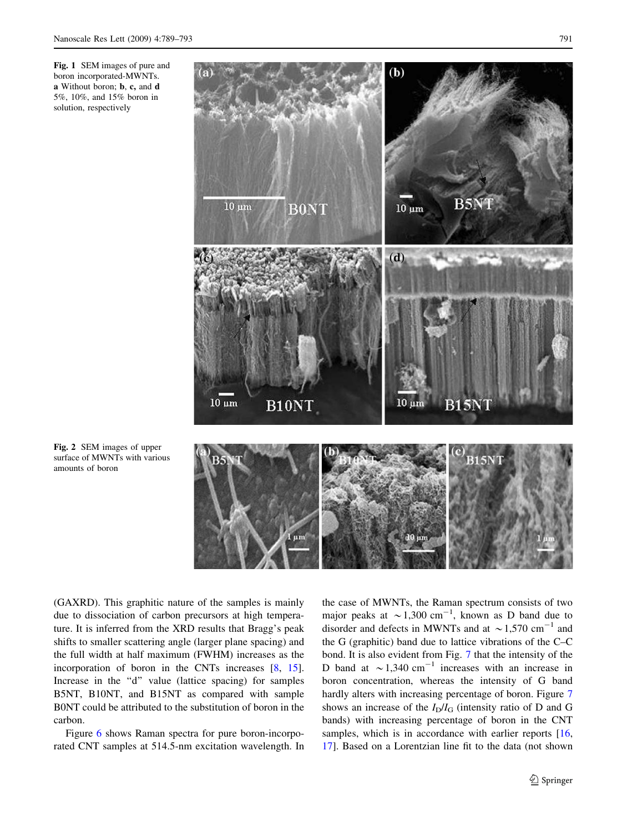<span id="page-2-0"></span>Fig. 1 SEM images of pure and boron incorporated-MWNTs. a Without boron; b, c, and d 5%, 10%, and 15% boron in solution, respectively



Fig. 2 SEM images of upper surface of MWNTs with various amounts of boron

(GAXRD). This graphitic nature of the samples is mainly due to dissociation of carbon precursors at high temperature. It is inferred from the XRD results that Bragg's peak shifts to smaller scattering angle (larger plane spacing) and the full width at half maximum (FWHM) increases as the incorporation of boron in the CNTs increases [\[8](#page-4-0), [15](#page-4-0)]. Increase in the "d" value (lattice spacing) for samples B5NT, B10NT, and B15NT as compared with sample B0NT could be attributed to the substitution of boron in the carbon.

Figure [6](#page-4-0) shows Raman spectra for pure boron-incorporated CNT samples at 514.5-nm excitation wavelength. In the case of MWNTs, the Raman spectrum consists of two major peaks at  $\sim$  1,300 cm<sup>-1</sup>, known as D band due to disorder and defects in MWNTs and at  $\sim$  1,570 cm<sup>-1</sup> and the G (graphitic) band due to lattice vibrations of the C–C bond. It is also evident from Fig. [7](#page-4-0) that the intensity of the D band at  $\sim$  1,340 cm<sup>-1</sup> increases with an increase in boron concentration, whereas the intensity of G band hardly alters with increasing percentage of boron. Figure [7](#page-4-0) shows an increase of the  $I_D/I_G$  (intensity ratio of D and G bands) with increasing percentage of boron in the CNT samples, which is in accordance with earlier reports [[16,](#page-4-0) [17](#page-4-0)]. Based on a Lorentzian line fit to the data (not shown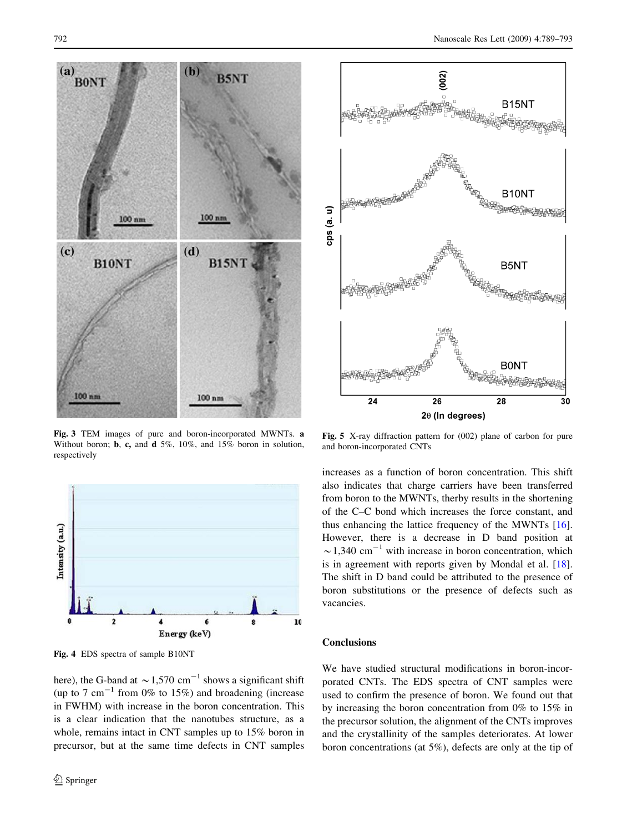

<span id="page-3-0"></span>

Fig. 3 TEM images of pure and boron-incorporated MWNTs. a Without boron; **b**, **c**, and **d** 5%, 10%, and 15% boron in solution, respectively



Fig. 4 EDS spectra of sample B10NT

here), the G-band at  $\sim$  1,570 cm<sup>-1</sup> shows a significant shift (up to 7 cm<sup>-1</sup> from 0% to 15%) and broadening (increase in FWHM) with increase in the boron concentration. This is a clear indication that the nanotubes structure, as a whole, remains intact in CNT samples up to 15% boron in precursor, but at the same time defects in CNT samples



Fig. 5 X-ray diffraction pattern for (002) plane of carbon for pure and boron-incorporated CNTs

increases as a function of boron concentration. This shift also indicates that charge carriers have been transferred from boron to the MWNTs, therby results in the shortening of the C–C bond which increases the force constant, and thus enhancing the lattice frequency of the MWNTs [\[16](#page-4-0)]. However, there is a decrease in D band position at  $\sim$ 1,340 cm<sup>-1</sup> with increase in boron concentration, which is in agreement with reports given by Mondal et al. [\[18](#page-4-0)]. The shift in D band could be attributed to the presence of boron substitutions or the presence of defects such as vacancies.

## **Conclusions**

We have studied structural modifications in boron-incorporated CNTs. The EDS spectra of CNT samples were used to confirm the presence of boron. We found out that by increasing the boron concentration from 0% to 15% in the precursor solution, the alignment of the CNTs improves and the crystallinity of the samples deteriorates. At lower boron concentrations (at 5%), defects are only at the tip of